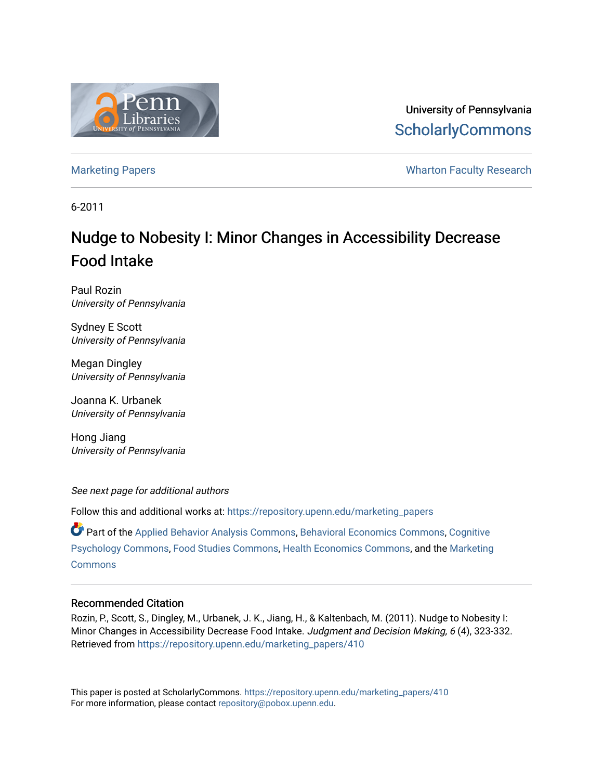

University of Pennsylvania **ScholarlyCommons** 

[Marketing Papers](https://repository.upenn.edu/marketing_papers) **Marketing Papers Marketing Papers Wharton Faculty Research** 

6-2011

# Nudge to Nobesity I: Minor Changes in Accessibility Decrease Food Intake

Paul Rozin University of Pennsylvania

Sydney E Scott University of Pennsylvania

Megan Dingley University of Pennsylvania

Joanna K. Urbanek University of Pennsylvania

Hong Jiang University of Pennsylvania

See next page for additional authors

Follow this and additional works at: [https://repository.upenn.edu/marketing\\_papers](https://repository.upenn.edu/marketing_papers?utm_source=repository.upenn.edu%2Fmarketing_papers%2F410&utm_medium=PDF&utm_campaign=PDFCoverPages)

Part of the [Applied Behavior Analysis Commons](http://network.bepress.com/hgg/discipline/1235?utm_source=repository.upenn.edu%2Fmarketing_papers%2F410&utm_medium=PDF&utm_campaign=PDFCoverPages), [Behavioral Economics Commons,](http://network.bepress.com/hgg/discipline/341?utm_source=repository.upenn.edu%2Fmarketing_papers%2F410&utm_medium=PDF&utm_campaign=PDFCoverPages) [Cognitive](http://network.bepress.com/hgg/discipline/408?utm_source=repository.upenn.edu%2Fmarketing_papers%2F410&utm_medium=PDF&utm_campaign=PDFCoverPages)  [Psychology Commons,](http://network.bepress.com/hgg/discipline/408?utm_source=repository.upenn.edu%2Fmarketing_papers%2F410&utm_medium=PDF&utm_campaign=PDFCoverPages) [Food Studies Commons,](http://network.bepress.com/hgg/discipline/1386?utm_source=repository.upenn.edu%2Fmarketing_papers%2F410&utm_medium=PDF&utm_campaign=PDFCoverPages) [Health Economics Commons,](http://network.bepress.com/hgg/discipline/1085?utm_source=repository.upenn.edu%2Fmarketing_papers%2F410&utm_medium=PDF&utm_campaign=PDFCoverPages) and the [Marketing](http://network.bepress.com/hgg/discipline/638?utm_source=repository.upenn.edu%2Fmarketing_papers%2F410&utm_medium=PDF&utm_campaign=PDFCoverPages) **[Commons](http://network.bepress.com/hgg/discipline/638?utm_source=repository.upenn.edu%2Fmarketing_papers%2F410&utm_medium=PDF&utm_campaign=PDFCoverPages)** 

#### Recommended Citation

Rozin, P., Scott, S., Dingley, M., Urbanek, J. K., Jiang, H., & Kaltenbach, M. (2011). Nudge to Nobesity I: Minor Changes in Accessibility Decrease Food Intake. Judgment and Decision Making, 6 (4), 323-332. Retrieved from [https://repository.upenn.edu/marketing\\_papers/410](https://repository.upenn.edu/marketing_papers/410?utm_source=repository.upenn.edu%2Fmarketing_papers%2F410&utm_medium=PDF&utm_campaign=PDFCoverPages) 

This paper is posted at ScholarlyCommons. [https://repository.upenn.edu/marketing\\_papers/410](https://repository.upenn.edu/marketing_papers/410)  For more information, please contact [repository@pobox.upenn.edu.](mailto:repository@pobox.upenn.edu)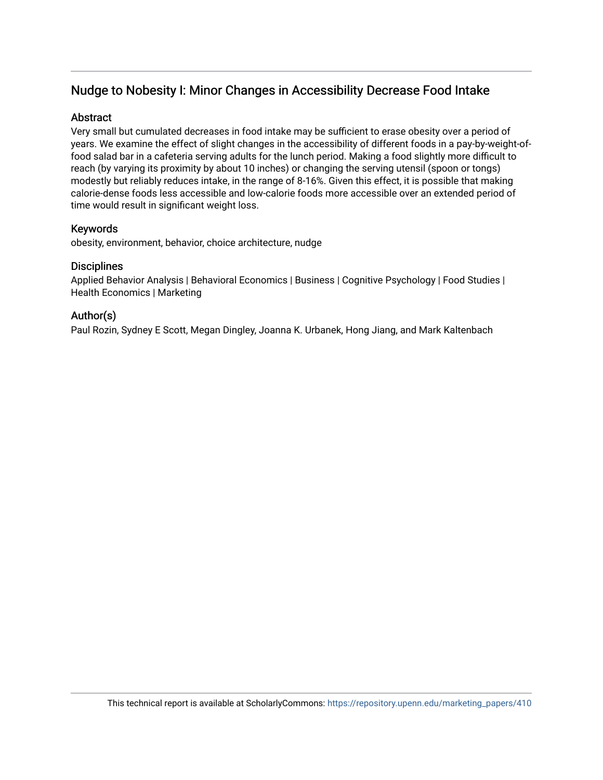## Nudge to Nobesity I: Minor Changes in Accessibility Decrease Food Intake

### **Abstract**

Very small but cumulated decreases in food intake may be sufficient to erase obesity over a period of years. We examine the effect of slight changes in the accessibility of different foods in a pay-by-weight-offood salad bar in a cafeteria serving adults for the lunch period. Making a food slightly more difficult to reach (by varying its proximity by about 10 inches) or changing the serving utensil (spoon or tongs) modestly but reliably reduces intake, in the range of 8-16%. Given this effect, it is possible that making calorie-dense foods less accessible and low-calorie foods more accessible over an extended period of time would result in significant weight loss.

## Keywords

obesity, environment, behavior, choice architecture, nudge

## **Disciplines**

Applied Behavior Analysis | Behavioral Economics | Business | Cognitive Psychology | Food Studies | Health Economics | Marketing

## Author(s)

Paul Rozin, Sydney E Scott, Megan Dingley, Joanna K. Urbanek, Hong Jiang, and Mark Kaltenbach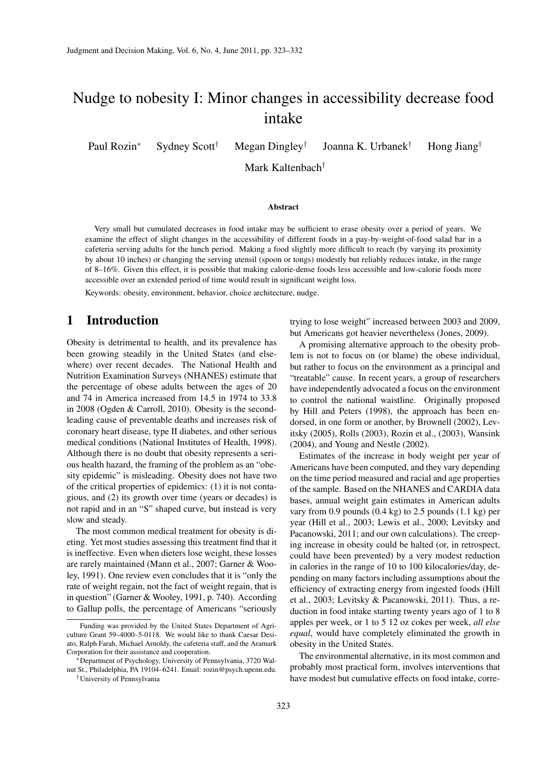## Nudge to nobesity I: Minor changes in accessibility decrease food intake

Paul Rozin<sup>∗</sup> Sydney Scott<sup>†</sup> Megan Dingley<sup>†</sup> Joanna K. Urbanek† Hong Jiang†

Mark Kaltenbach†

#### Abstract

Very small but cumulated decreases in food intake may be sufficient to erase obesity over a period of years. We examine the effect of slight changes in the accessibility of different foods in a pay-by-weight-of-food salad bar in a cafeteria serving adults for the lunch period. Making a food slightly more difficult to reach (by varying its proximity by about 10 inches) or changing the serving utensil (spoon or tongs) modestly but reliably reduces intake, in the range of 8–16%. Given this effect, it is possible that making calorie-dense foods less accessible and low-calorie foods more accessible over an extended period of time would result in significant weight loss.

Keywords: obesity, environment, behavior, choice architecture, nudge.

## 1 Introduction

Obesity is detrimental to health, and its prevalence has been growing steadily in the United States (and elsewhere) over recent decades. The National Health and Nutrition Examination Surveys (NHANES) estimate that the percentage of obese adults between the ages of 20 and 74 in America increased from 14.5 in 1974 to 33.8 in 2008 (Ogden & Carroll, 2010). Obesity is the secondleading cause of preventable deaths and increases risk of coronary heart disease, type II diabetes, and other serious medical conditions (National Institutes of Health, 1998). Although there is no doubt that obesity represents a serious health hazard, the framing of the problem as an "obesity epidemic" is misleading. Obesity does not have two of the critical properties of epidemics: (1) it is not contagious, and (2) its growth over time (years or decades) is not rapid and in an "S" shaped curve, but instead is very slow and steady.

The most common medical treatment for obesity is dieting. Yet most studies assessing this treatment find that it is ineffective. Even when dieters lose weight, these losses are rarely maintained (Mann et al., 2007; Garner & Wooley, 1991). One review even concludes that it is "only the rate of weight regain, not the fact of weight regain, that is in question" (Garner & Wooley, 1991, p. 740). According to Gallup polls, the percentage of Americans "seriously

trying to lose weight" increased between 2003 and 2009, but Americans got heavier nevertheless (Jones, 2009).

A promising alternative approach to the obesity problem is not to focus on (or blame) the obese individual, but rather to focus on the environment as a principal and "treatable" cause. In recent years, a group of researchers have independently advocated a focus on the environment to control the national waistline. Originally proposed by Hill and Peters (1998), the approach has been endorsed, in one form or another, by Brownell (2002), Levitsky (2005), Rolls (2003), Rozin et al., (2003), Wansink (2004), and Young and Nestle (2002).

Estimates of the increase in body weight per year of Americans have been computed, and they vary depending on the time period measured and racial and age properties of the sample. Based on the NHANES and CARDIA data bases, annual weight gain estimates in American adults vary from 0.9 pounds  $(0.4 \text{ kg})$  to 2.5 pounds  $(1.1 \text{ kg})$  per year (Hill et al., 2003; Lewis et al., 2000; Levitsky and Pacanowski, 2011; and our own calculations). The creeping increase in obesity could be halted (or, in retrospect, could have been prevented) by a very modest reduction in calories in the range of 10 to 100 kilocalories/day, depending on many factors including assumptions about the efficiency of extracting energy from ingested foods (Hill et al., 2003; Levitsky & Pacanowski, 2011). Thus, a reduction in food intake starting twenty years ago of 1 to 8 apples per week, or 1 to 5 12 oz cokes per week, *all else equal*, would have completely eliminated the growth in obesity in the United States.

The environmental alternative, in its most common and probably most practical form, involves interventions that have modest but cumulative effects on food intake, corre-

Funding was provided by the United States Department of Agriculture Grant 59–4000–5-0118. We would like to thank Caesar Desiato, Ralph Farah, Michael Arnoldy, the cafeteria staff, and the Aramark Corporation for their assistance and cooperation.

<sup>∗</sup>Department of Psychology, University of Pennsylvania, 3720 Walnut St., Philadelphia, PA 19104–6241. Email: rozin@psych.upenn.edu. †University of Pennsylvania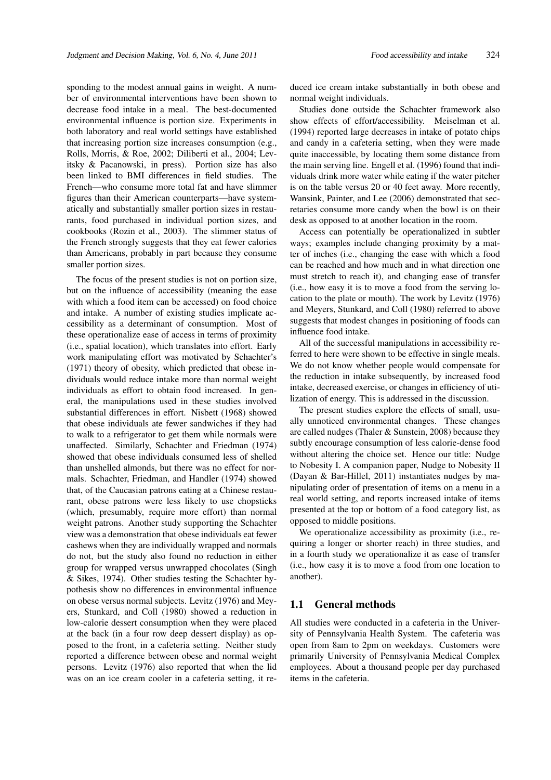sponding to the modest annual gains in weight. A number of environmental interventions have been shown to decrease food intake in a meal. The best-documented environmental influence is portion size. Experiments in both laboratory and real world settings have established that increasing portion size increases consumption (e.g., Rolls, Morris, & Roe, 2002; Diliberti et al., 2004; Levitsky & Pacanowski, in press). Portion size has also been linked to BMI differences in field studies. The French—who consume more total fat and have slimmer figures than their American counterparts—have systematically and substantially smaller portion sizes in restaurants, food purchased in individual portion sizes, and cookbooks (Rozin et al., 2003). The slimmer status of the French strongly suggests that they eat fewer calories than Americans, probably in part because they consume

smaller portion sizes.

The focus of the present studies is not on portion size, but on the influence of accessibility (meaning the ease with which a food item can be accessed) on food choice and intake. A number of existing studies implicate accessibility as a determinant of consumption. Most of these operationalize ease of access in terms of proximity (i.e., spatial location), which translates into effort. Early work manipulating effort was motivated by Schachter's (1971) theory of obesity, which predicted that obese individuals would reduce intake more than normal weight individuals as effort to obtain food increased. In general, the manipulations used in these studies involved substantial differences in effort. Nisbett (1968) showed that obese individuals ate fewer sandwiches if they had to walk to a refrigerator to get them while normals were unaffected. Similarly, Schachter and Friedman (1974) showed that obese individuals consumed less of shelled than unshelled almonds, but there was no effect for normals. Schachter, Friedman, and Handler (1974) showed that, of the Caucasian patrons eating at a Chinese restaurant, obese patrons were less likely to use chopsticks (which, presumably, require more effort) than normal weight patrons. Another study supporting the Schachter view was a demonstration that obese individuals eat fewer cashews when they are individually wrapped and normals do not, but the study also found no reduction in either group for wrapped versus unwrapped chocolates (Singh & Sikes, 1974). Other studies testing the Schachter hypothesis show no differences in environmental influence on obese versus normal subjects. Levitz (1976) and Meyers, Stunkard, and Coll (1980) showed a reduction in low-calorie dessert consumption when they were placed at the back (in a four row deep dessert display) as opposed to the front, in a cafeteria setting. Neither study reported a difference between obese and normal weight persons. Levitz (1976) also reported that when the lid was on an ice cream cooler in a cafeteria setting, it re-

duced ice cream intake substantially in both obese and normal weight individuals.

Studies done outside the Schachter framework also show effects of effort/accessibility. Meiselman et al. (1994) reported large decreases in intake of potato chips and candy in a cafeteria setting, when they were made quite inaccessible, by locating them some distance from the main serving line. Engell et al. (1996) found that individuals drink more water while eating if the water pitcher is on the table versus 20 or 40 feet away. More recently, Wansink, Painter, and Lee (2006) demonstrated that secretaries consume more candy when the bowl is on their desk as opposed to at another location in the room.

Access can potentially be operationalized in subtler ways; examples include changing proximity by a matter of inches (i.e., changing the ease with which a food can be reached and how much and in what direction one must stretch to reach it), and changing ease of transfer (i.e., how easy it is to move a food from the serving location to the plate or mouth). The work by Levitz (1976) and Meyers, Stunkard, and Coll (1980) referred to above suggests that modest changes in positioning of foods can influence food intake.

All of the successful manipulations in accessibility referred to here were shown to be effective in single meals. We do not know whether people would compensate for the reduction in intake subsequently, by increased food intake, decreased exercise, or changes in efficiency of utilization of energy. This is addressed in the discussion.

The present studies explore the effects of small, usually unnoticed environmental changes. These changes are called nudges (Thaler & Sunstein, 2008) because they subtly encourage consumption of less calorie-dense food without altering the choice set. Hence our title: Nudge to Nobesity I. A companion paper, Nudge to Nobesity II (Dayan & Bar-Hillel, 2011) instantiates nudges by manipulating order of presentation of items on a menu in a real world setting, and reports increased intake of items presented at the top or bottom of a food category list, as opposed to middle positions.

We operationalize accessibility as proximity (i.e., requiring a longer or shorter reach) in three studies, and in a fourth study we operationalize it as ease of transfer (i.e., how easy it is to move a food from one location to another).

#### 1.1 General methods

All studies were conducted in a cafeteria in the University of Pennsylvania Health System. The cafeteria was open from 8am to 2pm on weekdays. Customers were primarily University of Pennsylvania Medical Complex employees. About a thousand people per day purchased items in the cafeteria.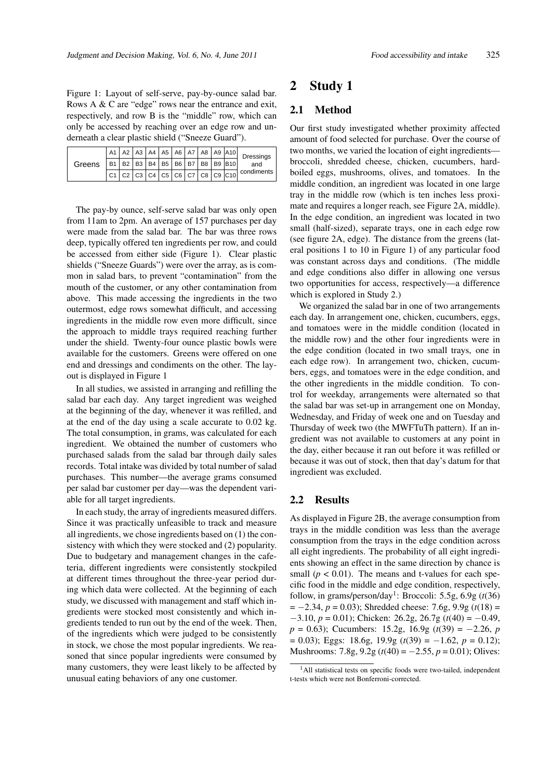Figure 1: Layout of self-serve, pay-by-ounce salad bar. Rows A & C are "edge" rows near the entrance and exit, respectively, and row B is the "middle" row, which can only be accessed by reaching over an edge row and underneath a clear plastic shield ("Sneeze Guard").

| Greens |  |  |  |  | $A1$   A2   A3   A4   A5   A6   A7   A8   A9   A10 | Dressings<br>and<br>$\vert$ C1 $\vert$ C2 $\vert$ C3 $\vert$ C4 $\vert$ C5 $\vert$ C6 $\vert$ C7 $\overline{\vert$ C8 $\vert$ C9 $\vert$ C10 $\vert$ condiments |
|--------|--|--|--|--|----------------------------------------------------|-----------------------------------------------------------------------------------------------------------------------------------------------------------------|
|        |  |  |  |  | $B1   B2   B3   B4   B5   B6   B7   B8   B9   B10$ |                                                                                                                                                                 |
|        |  |  |  |  |                                                    |                                                                                                                                                                 |

The pay-by ounce, self-serve salad bar was only open from 11am to 2pm. An average of 157 purchases per day were made from the salad bar. The bar was three rows deep, typically offered ten ingredients per row, and could be accessed from either side (Figure 1). Clear plastic shields ("Sneeze Guards") were over the array, as is common in salad bars, to prevent "contamination" from the mouth of the customer, or any other contamination from above. This made accessing the ingredients in the two outermost, edge rows somewhat difficult, and accessing ingredients in the middle row even more difficult, since the approach to middle trays required reaching further under the shield. Twenty-four ounce plastic bowls were available for the customers. Greens were offered on one end and dressings and condiments on the other. The layout is displayed in Figure 1

In all studies, we assisted in arranging and refilling the salad bar each day. Any target ingredient was weighed at the beginning of the day, whenever it was refilled, and at the end of the day using a scale accurate to 0.02 kg. The total consumption, in grams, was calculated for each ingredient. We obtained the number of customers who purchased salads from the salad bar through daily sales records. Total intake was divided by total number of salad purchases. This number—the average grams consumed per salad bar customer per day—was the dependent variable for all target ingredients.

In each study, the array of ingredients measured differs. Since it was practically unfeasible to track and measure all ingredients, we chose ingredients based on (1) the consistency with which they were stocked and (2) popularity. Due to budgetary and management changes in the cafeteria, different ingredients were consistently stockpiled at different times throughout the three-year period during which data were collected. At the beginning of each study, we discussed with management and staff which ingredients were stocked most consistently and which ingredients tended to run out by the end of the week. Then, of the ingredients which were judged to be consistently in stock, we chose the most popular ingredients. We reasoned that since popular ingredients were consumed by many customers, they were least likely to be affected by unusual eating behaviors of any one customer.

## 2 Study 1

#### 2.1 Method

Our first study investigated whether proximity affected amount of food selected for purchase. Over the course of two months, we varied the location of eight ingredients broccoli, shredded cheese, chicken, cucumbers, hardboiled eggs, mushrooms, olives, and tomatoes. In the middle condition, an ingredient was located in one large tray in the middle row (which is ten inches less proximate and requires a longer reach, see Figure 2A, middle). In the edge condition, an ingredient was located in two small (half-sized), separate trays, one in each edge row (see figure 2A, edge). The distance from the greens (lateral positions 1 to 10 in Figure 1) of any particular food was constant across days and conditions. (The middle and edge conditions also differ in allowing one versus two opportunities for access, respectively—a difference which is explored in Study 2.)

We organized the salad bar in one of two arrangements each day. In arrangement one, chicken, cucumbers, eggs, and tomatoes were in the middle condition (located in the middle row) and the other four ingredients were in the edge condition (located in two small trays, one in each edge row). In arrangement two, chicken, cucumbers, eggs, and tomatoes were in the edge condition, and the other ingredients in the middle condition. To control for weekday, arrangements were alternated so that the salad bar was set-up in arrangement one on Monday, Wednesday, and Friday of week one and on Tuesday and Thursday of week two (the MWFTuTh pattern). If an ingredient was not available to customers at any point in the day, either because it ran out before it was refilled or because it was out of stock, then that day's datum for that ingredient was excluded.

#### 2.2 Results

As displayed in Figure 2B, the average consumption from trays in the middle condition was less than the average consumption from the trays in the edge condition across all eight ingredients. The probability of all eight ingredients showing an effect in the same direction by chance is small ( $p < 0.01$ ). The means and t-values for each specific food in the middle and edge condition, respectively, follow, in grams/person/day<sup>1</sup>: Broccoli: 5.5g, 6.9g  $(t(36))$ = −2.34, *p* = 0.03); Shredded cheese: 7.6g, 9.9g (*t*(18) = −3.10, *p* = 0.01); Chicken: 26.2g, 26.7g (*t*(40) = −0.49, *p* = 0.63); Cucumbers: 15.2g, 16.9g (*t*(39) = −2.26, *p* = 0.03); Eggs: 18.6g, 19.9g (*t*(39) = −1.62, *p* = 0.12); Mushrooms: 7.8g, 9.2g (*t*(40) = −2.55, *p* = 0.01); Olives:

<sup>&</sup>lt;sup>1</sup>All statistical tests on specific foods were two-tailed, independent t-tests which were not Bonferroni-corrected.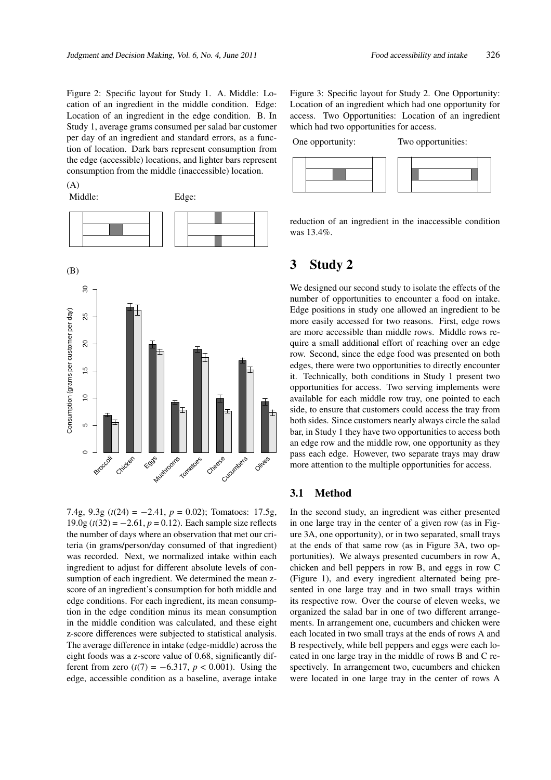Figure 2: Specific layout for Study 1. A. Middle: Location of an ingredient in the middle condition. Edge: Location of an ingredient in the edge condition. B. In Study 1, average grams consumed per salad bar customer per day of an ingredient and standard errors, as a function of location. Dark bars represent consumption from the edge (accessible) locations, and lighter bars represent consumption from the middle (inaccessible) location.

 $(A)$ 



7.4g, 9.3g (*t*(24) = −2.41, *p* = 0.02); Tomatoes: 17.5g, 19.0g  $(t(32) = -2.61, p = 0.12)$ . Each sample size reflects the number of days where an observation that met our criteria (in grams/person/day consumed of that ingredient) was recorded. Next, we normalized intake within each ingredient to adjust for different absolute levels of consumption of each ingredient. We determined the mean zscore of an ingredient's consumption for both middle and edge conditions. For each ingredient, its mean consumption in the edge condition minus its mean consumption in the middle condition was calculated, and these eight z-score differences were subjected to statistical analysis. The average difference in intake (edge-middle) across the eight foods was a z-score value of 0.68, significantly different from zero  $(t(7) = -6.317, p < 0.001)$ . Using the edge, accessible condition as a baseline, average intake

Figure 3: Specific layout for Study 2. One Opportunity: Location of an ingredient which had one opportunity for access. Two Opportunities: Location of an ingredient which had two opportunities for access.

One opportunity: Two opportunities:



reduction of an ingredient in the inaccessible condition was 13.4%.

## 3 Study 2

We designed our second study to isolate the effects of the number of opportunities to encounter a food on intake. Edge positions in study one allowed an ingredient to be more easily accessed for two reasons. First, edge rows are more accessible than middle rows. Middle rows require a small additional effort of reaching over an edge row. Second, since the edge food was presented on both edges, there were two opportunities to directly encounter it. Technically, both conditions in Study 1 present two opportunities for access. Two serving implements were available for each middle row tray, one pointed to each side, to ensure that customers could access the tray from both sides. Since customers nearly always circle the salad bar, in Study 1 they have two opportunities to access both an edge row and the middle row, one opportunity as they pass each edge. However, two separate trays may draw more attention to the multiple opportunities for access.

#### 3.1 Method

In the second study, an ingredient was either presented in one large tray in the center of a given row (as in Figure 3A, one opportunity), or in two separated, small trays at the ends of that same row (as in Figure 3A, two opportunities). We always presented cucumbers in row A, chicken and bell peppers in row B, and eggs in row C (Figure 1), and every ingredient alternated being presented in one large tray and in two small trays within its respective row. Over the course of eleven weeks, we organized the salad bar in one of two different arrangements. In arrangement one, cucumbers and chicken were each located in two small trays at the ends of rows A and B respectively, while bell peppers and eggs were each located in one large tray in the middle of rows B and C respectively. In arrangement two, cucumbers and chicken were located in one large tray in the center of rows A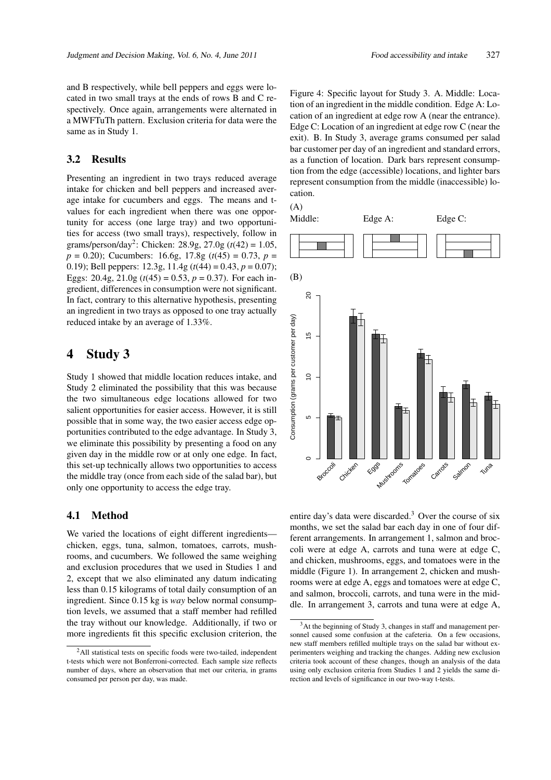and B respectively, while bell peppers and eggs were located in two small trays at the ends of rows B and C respectively. Once again, arrangements were alternated in a MWFTuTh pattern. Exclusion criteria for data were the same as in Study 1.

#### 3.2 Results

Presenting an ingredient in two trays reduced average intake for chicken and bell peppers and increased average intake for cucumbers and eggs. The means and tvalues for each ingredient when there was one opportunity for access (one large tray) and two opportunities for access (two small trays), respectively, follow in grams/person/day<sup>2</sup> : Chicken: 28.9g, 27.0g (*t*(42) = 1.05, *p* = 0.20); Cucumbers: 16.6g, 17.8g (*t*(45) = 0.73, *p* = 0.19); Bell peppers: 12.3g, 11.4g (*t*(44) = 0.43, *p* = 0.07); Eggs: 20.4g,  $21.0g$  ( $t(45) = 0.53$ ,  $p = 0.37$ ). For each ingredient, differences in consumption were not significant. In fact, contrary to this alternative hypothesis, presenting an ingredient in two trays as opposed to one tray actually reduced intake by an average of 1.33%.

## 4 Study 3

Study 1 showed that middle location reduces intake, and Study 2 eliminated the possibility that this was because the two simultaneous edge locations allowed for two salient opportunities for easier access. However, it is still possible that in some way, the two easier access edge opportunities contributed to the edge advantage. In Study 3, we eliminate this possibility by presenting a food on any given day in the middle row or at only one edge. In fact, this set-up technically allows two opportunities to access the middle tray (once from each side of the salad bar), but only one opportunity to access the edge tray.

#### 4.1 Method

We varied the locations of eight different ingredients chicken, eggs, tuna, salmon, tomatoes, carrots, mushrooms, and cucumbers. We followed the same weighing and exclusion procedures that we used in Studies 1 and 2, except that we also eliminated any datum indicating less than 0.15 kilograms of total daily consumption of an ingredient. Since 0.15 kg is *way* below normal consumption levels, we assumed that a staff member had refilled the tray without our knowledge. Additionally, if two or more ingredients fit this specific exclusion criterion, the

Figure 4: Specific layout for Study 3. A. Middle: Location of an ingredient in the middle condition. Edge A: Location of an ingredient at edge row A (near the entrance). Edge C: Location of an ingredient at edge row C (near the exit). B. In Study 3, average grams consumed per salad bar customer per day of an ingredient and standard errors, as a function of location. Dark bars represent consumption from the edge (accessible) locations, and lighter bars represent consumption from the middle (inaccessible) location.





entire day's data were discarded.<sup>3</sup> Over the course of six months, we set the salad bar each day in one of four different arrangements. In arrangement 1, salmon and broccoli were at edge A, carrots and tuna were at edge C, and chicken, mushrooms, eggs, and tomatoes were in the middle (Figure 1). In arrangement 2, chicken and mushrooms were at edge A, eggs and tomatoes were at edge C, and salmon, broccoli, carrots, and tuna were in the middle. In arrangement 3, carrots and tuna were at edge A,

<sup>&</sup>lt;sup>2</sup>All statistical tests on specific foods were two-tailed, independent t-tests which were not Bonferroni-corrected. Each sample size reflects number of days, where an observation that met our criteria, in grams consumed per person per day, was made.

<sup>3</sup>At the beginning of Study 3, changes in staff and management personnel caused some confusion at the cafeteria. On a few occasions, new staff members refilled multiple trays on the salad bar without experimenters weighing and tracking the changes. Adding new exclusion criteria took account of these changes, though an analysis of the data using only exclusion criteria from Studies 1 and 2 yields the same direction and levels of significance in our two-way t-tests.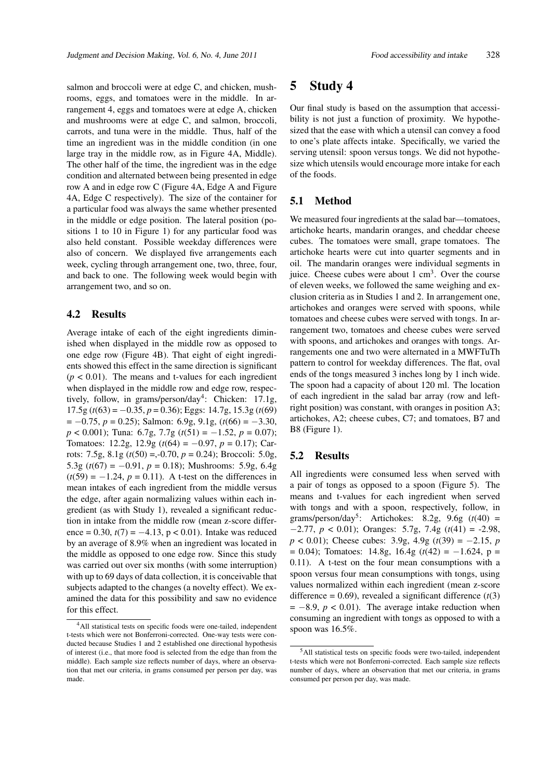salmon and broccoli were at edge C, and chicken, mushrooms, eggs, and tomatoes were in the middle. In arrangement 4, eggs and tomatoes were at edge A, chicken and mushrooms were at edge C, and salmon, broccoli, carrots, and tuna were in the middle. Thus, half of the time an ingredient was in the middle condition (in one large tray in the middle row, as in Figure 4A, Middle). The other half of the time, the ingredient was in the edge condition and alternated between being presented in edge row A and in edge row C (Figure 4A, Edge A and Figure 4A, Edge C respectively). The size of the container for a particular food was always the same whether presented in the middle or edge position. The lateral position (positions 1 to 10 in Figure 1) for any particular food was also held constant. Possible weekday differences were also of concern. We displayed five arrangements each week, cycling through arrangement one, two, three, four, and back to one. The following week would begin with arrangement two, and so on.

#### 4.2 Results

Average intake of each of the eight ingredients diminished when displayed in the middle row as opposed to one edge row (Figure 4B). That eight of eight ingredients showed this effect in the same direction is significant  $(p < 0.01)$ . The means and t-values for each ingredient when displayed in the middle row and edge row, respectively, follow, in grams/person/day<sup>4</sup>: Chicken: 17.1g, 17.5g (*t*(63) = −0.35, *p* = 0.36); Eggs: 14.7g, 15.3g (*t*(69) = −0.75, *p* = 0.25); Salmon: 6.9g, 9.1g, (*t*(66) = −3.30, *p* < 0.001); Tuna: 6.7g, 7.7g (*t*(51) = −1.52, *p* = 0.07); Tomatoes: 12.2g, 12.9g (*t*(64) = −0.97, *p* = 0.17); Carrots: 7.5g, 8.1g (*t*(50) =,-0.70, *p* = 0.24); Broccoli: 5.0g, 5.3g  $(t(67) = -0.91, p = 0.18)$ ; Mushrooms: 5.9g, 6.4g  $(t(59) = -1.24, p = 0.11)$ . A t-test on the differences in mean intakes of each ingredient from the middle versus the edge, after again normalizing values within each ingredient (as with Study 1), revealed a significant reduction in intake from the middle row (mean z-score difference =  $0.30$ ,  $t(7) = -4.13$ ,  $p < 0.01$ ). Intake was reduced by an average of 8.9% when an ingredient was located in the middle as opposed to one edge row. Since this study was carried out over six months (with some interruption) with up to 69 days of data collection, it is conceivable that subjects adapted to the changes (a novelty effect). We examined the data for this possibility and saw no evidence for this effect.

## 5 Study 4

Our final study is based on the assumption that accessibility is not just a function of proximity. We hypothesized that the ease with which a utensil can convey a food to one's plate affects intake. Specifically, we varied the serving utensil: spoon versus tongs. We did not hypothesize which utensils would encourage more intake for each of the foods.

#### 5.1 Method

We measured four ingredients at the salad bar—tomatoes, artichoke hearts, mandarin oranges, and cheddar cheese cubes. The tomatoes were small, grape tomatoes. The artichoke hearts were cut into quarter segments and in oil. The mandarin oranges were individual segments in juice. Cheese cubes were about  $1 \text{ cm}^3$ . Over the course of eleven weeks, we followed the same weighing and exclusion criteria as in Studies 1 and 2. In arrangement one, artichokes and oranges were served with spoons, while tomatoes and cheese cubes were served with tongs. In arrangement two, tomatoes and cheese cubes were served with spoons, and artichokes and oranges with tongs. Arrangements one and two were alternated in a MWFTuTh pattern to control for weekday differences. The flat, oval ends of the tongs measured 3 inches long by 1 inch wide. The spoon had a capacity of about 120 ml. The location of each ingredient in the salad bar array (row and leftright position) was constant, with oranges in position A3; artichokes, A2; cheese cubes, C7; and tomatoes, B7 and B8 (Figure 1).

#### 5.2 Results

All ingredients were consumed less when served with a pair of tongs as opposed to a spoon (Figure 5). The means and t-values for each ingredient when served with tongs and with a spoon, respectively, follow, in grams/person/day<sup>5</sup>: Artichokes: 8.2g, 9.6g  $(t(40)$  = −2.77, *p* < 0.01); Oranges: 5.7g, 7.4g (*t*(41) = -2.98, *p* < 0.01); Cheese cubes: 3.9g, 4.9g (*t*(39) = −2.15, *p* = 0.04); Tomatoes: 14.8g, 16.4g (*t*(42) = −1.624, p = 0.11). A t-test on the four mean consumptions with a spoon versus four mean consumptions with tongs, using values normalized within each ingredient (mean z-score difference =  $0.69$ ), revealed a significant difference  $(t(3))$  $= -8.9$ ,  $p < 0.01$ ). The average intake reduction when consuming an ingredient with tongs as opposed to with a spoon was 16.5%.

<sup>4</sup>All statistical tests on specific foods were one-tailed, independent t-tests which were not Bonferroni-corrected. One-way tests were conducted because Studies 1 and 2 established one directional hypothesis of interest (i.e., that more food is selected from the edge than from the middle). Each sample size reflects number of days, where an observation that met our criteria, in grams consumed per person per day, was made.

<sup>5</sup>All statistical tests on specific foods were two-tailed, independent t-tests which were not Bonferroni-corrected. Each sample size reflects number of days, where an observation that met our criteria, in grams consumed per person per day, was made.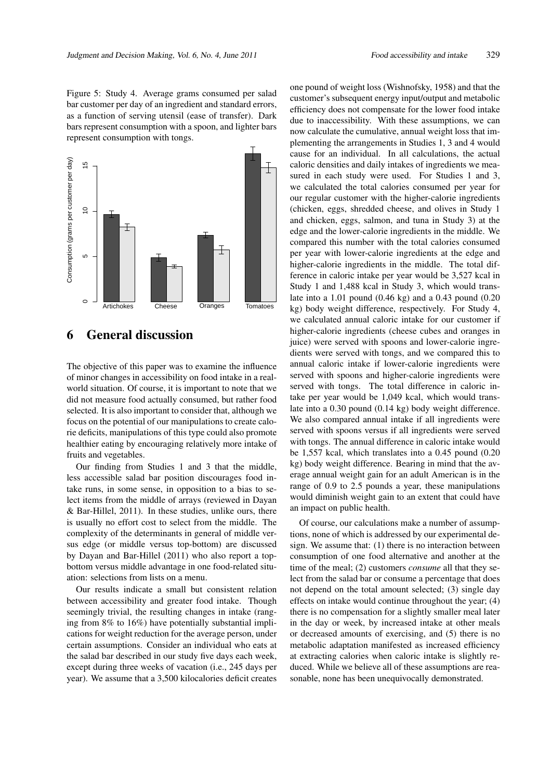Figure 5: Study 4. Average grams consumed per salad bar customer per day of an ingredient and standard errors, as a function of serving utensil (ease of transfer). Dark bars represent consumption with a spoon, and lighter bars represent consumption with tongs.



## 6 General discussion

The objective of this paper was to examine the influence of minor changes in accessibility on food intake in a realworld situation. Of course, it is important to note that we did not measure food actually consumed, but rather food selected. It is also important to consider that, although we focus on the potential of our manipulations to create calorie deficits, manipulations of this type could also promote healthier eating by encouraging relatively more intake of fruits and vegetables.

Our finding from Studies 1 and 3 that the middle, less accessible salad bar position discourages food intake runs, in some sense, in opposition to a bias to select items from the middle of arrays (reviewed in Dayan & Bar-Hillel, 2011). In these studies, unlike ours, there is usually no effort cost to select from the middle. The complexity of the determinants in general of middle versus edge (or middle versus top-bottom) are discussed by Dayan and Bar-Hillel (2011) who also report a topbottom versus middle advantage in one food-related situation: selections from lists on a menu.

Our results indicate a small but consistent relation between accessibility and greater food intake. Though seemingly trivial, the resulting changes in intake (ranging from 8% to 16%) have potentially substantial implications for weight reduction for the average person, under certain assumptions. Consider an individual who eats at the salad bar described in our study five days each week, except during three weeks of vacation (i.e., 245 days per year). We assume that a 3,500 kilocalories deficit creates one pound of weight loss (Wishnofsky, 1958) and that the customer's subsequent energy input/output and metabolic efficiency does not compensate for the lower food intake due to inaccessibility. With these assumptions, we can now calculate the cumulative, annual weight loss that implementing the arrangements in Studies 1, 3 and 4 would cause for an individual. In all calculations, the actual caloric densities and daily intakes of ingredients we measured in each study were used. For Studies 1 and 3, we calculated the total calories consumed per year for our regular customer with the higher-calorie ingredients (chicken, eggs, shredded cheese, and olives in Study 1 and chicken, eggs, salmon, and tuna in Study 3) at the edge and the lower-calorie ingredients in the middle. We compared this number with the total calories consumed per year with lower-calorie ingredients at the edge and higher-calorie ingredients in the middle. The total difference in caloric intake per year would be 3,527 kcal in Study 1 and 1,488 kcal in Study 3, which would translate into a 1.01 pound (0.46 kg) and a 0.43 pound (0.20 kg) body weight difference, respectively. For Study 4, we calculated annual caloric intake for our customer if higher-calorie ingredients (cheese cubes and oranges in juice) were served with spoons and lower-calorie ingredients were served with tongs, and we compared this to annual caloric intake if lower-calorie ingredients were served with spoons and higher-calorie ingredients were served with tongs. The total difference in caloric intake per year would be 1,049 kcal, which would translate into a 0.30 pound (0.14 kg) body weight difference. We also compared annual intake if all ingredients were served with spoons versus if all ingredients were served with tongs. The annual difference in caloric intake would be 1,557 kcal, which translates into a 0.45 pound (0.20 kg) body weight difference. Bearing in mind that the average annual weight gain for an adult American is in the range of 0.9 to 2.5 pounds a year, these manipulations would diminish weight gain to an extent that could have an impact on public health.

Of course, our calculations make a number of assumptions, none of which is addressed by our experimental design. We assume that: (1) there is no interaction between consumption of one food alternative and another at the time of the meal; (2) customers *consume* all that they select from the salad bar or consume a percentage that does not depend on the total amount selected; (3) single day effects on intake would continue throughout the year; (4) there is no compensation for a slightly smaller meal later in the day or week, by increased intake at other meals or decreased amounts of exercising, and (5) there is no metabolic adaptation manifested as increased efficiency at extracting calories when caloric intake is slightly reduced. While we believe all of these assumptions are reasonable, none has been unequivocally demonstrated.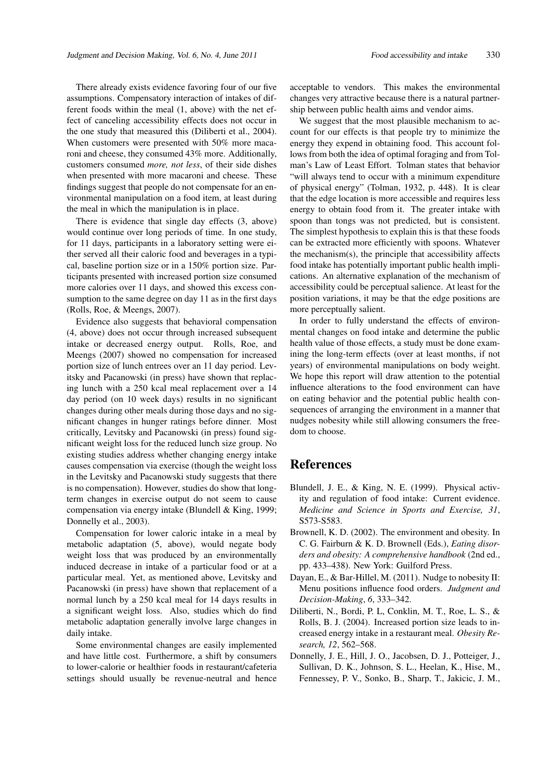There already exists evidence favoring four of our five assumptions. Compensatory interaction of intakes of different foods within the meal (1, above) with the net effect of canceling accessibility effects does not occur in the one study that measured this (Diliberti et al., 2004). When customers were presented with 50% more macaroni and cheese, they consumed 43% more. Additionally, customers consumed *more, not less*, of their side dishes when presented with more macaroni and cheese. These findings suggest that people do not compensate for an environmental manipulation on a food item, at least during the meal in which the manipulation is in place.

There is evidence that single day effects (3, above) would continue over long periods of time. In one study, for 11 days, participants in a laboratory setting were either served all their caloric food and beverages in a typical, baseline portion size or in a 150% portion size. Participants presented with increased portion size consumed more calories over 11 days, and showed this excess consumption to the same degree on day 11 as in the first days (Rolls, Roe, & Meengs, 2007).

Evidence also suggests that behavioral compensation (4, above) does not occur through increased subsequent intake or decreased energy output. Rolls, Roe, and Meengs (2007) showed no compensation for increased portion size of lunch entrees over an 11 day period. Levitsky and Pacanowski (in press) have shown that replacing lunch with a 250 kcal meal replacement over a 14 day period (on 10 week days) results in no significant changes during other meals during those days and no significant changes in hunger ratings before dinner. Most critically, Levitsky and Pacanowski (in press) found significant weight loss for the reduced lunch size group. No existing studies address whether changing energy intake causes compensation via exercise (though the weight loss in the Levitsky and Pacanowski study suggests that there is no compensation). However, studies do show that longterm changes in exercise output do not seem to cause compensation via energy intake (Blundell & King, 1999; Donnelly et al., 2003).

Compensation for lower caloric intake in a meal by metabolic adaptation (5, above), would negate body weight loss that was produced by an environmentally induced decrease in intake of a particular food or at a particular meal. Yet, as mentioned above, Levitsky and Pacanowski (in press) have shown that replacement of a normal lunch by a 250 kcal meal for 14 days results in a significant weight loss. Also, studies which do find metabolic adaptation generally involve large changes in daily intake.

Some environmental changes are easily implemented and have little cost. Furthermore, a shift by consumers to lower-calorie or healthier foods in restaurant/cafeteria settings should usually be revenue-neutral and hence

acceptable to vendors. This makes the environmental changes very attractive because there is a natural partnership between public health aims and vendor aims.

We suggest that the most plausible mechanism to account for our effects is that people try to minimize the energy they expend in obtaining food. This account follows from both the idea of optimal foraging and from Tolman's Law of Least Effort. Tolman states that behavior "will always tend to occur with a minimum expenditure of physical energy" (Tolman, 1932, p. 448). It is clear that the edge location is more accessible and requires less energy to obtain food from it. The greater intake with spoon than tongs was not predicted, but is consistent. The simplest hypothesis to explain this is that these foods can be extracted more efficiently with spoons. Whatever the mechanism(s), the principle that accessibility affects food intake has potentially important public health implications. An alternative explanation of the mechanism of accessibility could be perceptual salience. At least for the position variations, it may be that the edge positions are more perceptually salient.

In order to fully understand the effects of environmental changes on food intake and determine the public health value of those effects, a study must be done examining the long-term effects (over at least months, if not years) of environmental manipulations on body weight. We hope this report will draw attention to the potential influence alterations to the food environment can have on eating behavior and the potential public health consequences of arranging the environment in a manner that nudges nobesity while still allowing consumers the freedom to choose.

## **References**

- Blundell, J. E., & King, N. E. (1999). Physical activity and regulation of food intake: Current evidence. *Medicine and Science in Sports and Exercise, 31*, S573-S583.
- Brownell, K. D. (2002). The environment and obesity. In C. G. Fairburn & K. D. Brownell (Eds.), *Eating disorders and obesity: A comprehensive handbook* (2nd ed., pp. 433–438). New York: Guilford Press.
- Dayan, E., & Bar-Hillel, M. (2011). Nudge to nobesity II: Menu positions influence food orders. *Judgment and Decision-Making*, *6*, 333–342.
- Diliberti, N., Bordi, P. L, Conklin, M. T., Roe, L. S., & Rolls, B. J. (2004). Increased portion size leads to increased energy intake in a restaurant meal. *Obesity Research, 12*, 562–568.
- Donnelly, J. E., Hill, J. O., Jacobsen, D. J., Potteiger, J., Sullivan, D. K., Johnson, S. L., Heelan, K., Hise, M., Fennessey, P. V., Sonko, B., Sharp, T., Jakicic, J. M.,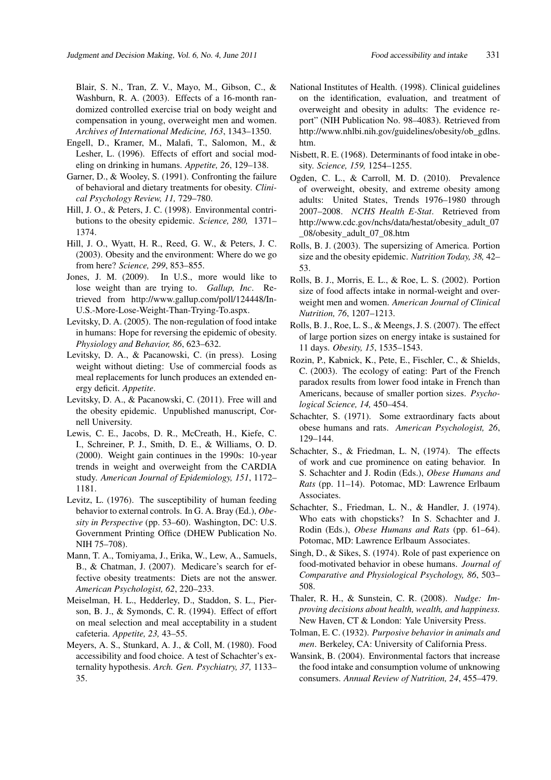Blair, S. N., Tran, Z. V., Mayo, M., Gibson, C., & Washburn, R. A. (2003). Effects of a 16-month randomized controlled exercise trial on body weight and compensation in young, overweight men and women. *Archives of International Medicine, 163*, 1343–1350.

- Engell, D., Kramer, M., Malafi, T., Salomon, M., & Lesher, L. (1996). Effects of effort and social modeling on drinking in humans. *Appetite, 26*, 129–138.
- Garner, D., & Wooley, S. (1991). Confronting the failure of behavioral and dietary treatments for obesity. *Clinical Psychology Review, 11,* 729–780.
- Hill, J. O., & Peters, J. C. (1998). Environmental contributions to the obesity epidemic. *Science, 280,* 1371– 1374.
- Hill, J. O., Wyatt, H. R., Reed, G. W., & Peters, J. C. (2003). Obesity and the environment: Where do we go from here? *Science, 299*, 853–855.
- Jones, J. M. (2009). In U.S., more would like to lose weight than are trying to. *Gallup, Inc*. Retrieved from http://www.gallup.com/poll/124448/In-U.S.-More-Lose-Weight-Than-Trying-To.aspx.
- Levitsky, D. A. (2005). The non-regulation of food intake in humans: Hope for reversing the epidemic of obesity. *Physiology and Behavior, 86*, 623–632.
- Levitsky, D. A., & Pacanowski, C. (in press). Losing weight without dieting: Use of commercial foods as meal replacements for lunch produces an extended energy deficit. *Appetite*.
- Levitsky, D. A., & Pacanowski, C. (2011). Free will and the obesity epidemic. Unpublished manuscript, Cornell University.
- Lewis, C. E., Jacobs, D. R., McCreath, H., Kiefe, C. I., Schreiner, P. J., Smith, D. E., & Williams, O. D. (2000). Weight gain continues in the 1990s: 10-year trends in weight and overweight from the CARDIA study. *American Journal of Epidemiology, 151*, 1172– 1181.
- Levitz, L. (1976). The susceptibility of human feeding behavior to external controls. In G. A. Bray (Ed.), *Obesity in Perspective* (pp. 53–60). Washington, DC: U.S. Government Printing Office (DHEW Publication No. NIH 75–708).
- Mann, T. A., Tomiyama, J., Erika, W., Lew, A., Samuels, B., & Chatman, J. (2007). Medicare's search for effective obesity treatments: Diets are not the answer. *American Psychologist, 62*, 220–233.
- Meiselman, H. L., Hedderley, D., Staddon, S. L., Pierson, B. J., & Symonds, C. R. (1994). Effect of effort on meal selection and meal acceptability in a student cafeteria. *Appetite, 23,* 43–55.
- Meyers, A. S., Stunkard, A. J., & Coll, M. (1980). Food accessibility and food choice. A test of Schachter's externality hypothesis. *Arch. Gen. Psychiatry, 37,* 1133– 35.
- National Institutes of Health. (1998). Clinical guidelines on the identification, evaluation, and treatment of overweight and obesity in adults: The evidence report" (NIH Publication No. 98–4083). Retrieved from http://www.nhlbi.nih.gov/guidelines/obesity/ob\_gdlns. htm.
- Nisbett, R. E. (1968). Determinants of food intake in obesity. *Science, 159,* 1254–1255.
- Ogden, C. L., & Carroll, M. D. (2010). Prevalence of overweight, obesity, and extreme obesity among adults: United States, Trends 1976–1980 through 2007–2008. *NCHS Health E-Stat*. Retrieved from http://www.cdc.gov/nchs/data/hestat/obesity\_adult\_07 \_08/obesity\_adult\_07\_08.htm
- Rolls, B. J. (2003). The supersizing of America. Portion size and the obesity epidemic. *Nutrition Today, 38,* 42– 53.
- Rolls, B. J., Morris, E. L., & Roe, L. S. (2002). Portion size of food affects intake in normal-weight and overweight men and women. *American Journal of Clinical Nutrition, 76*, 1207–1213.
- Rolls, B. J., Roe, L. S., & Meengs, J. S. (2007). The effect of large portion sizes on energy intake is sustained for 11 days. *Obesity, 15*, 1535–1543.
- Rozin, P., Kabnick, K., Pete, E., Fischler, C., & Shields, C. (2003). The ecology of eating: Part of the French paradox results from lower food intake in French than Americans, because of smaller portion sizes. *Psychological Science, 14,* 450–454.
- Schachter, S. (1971). Some extraordinary facts about obese humans and rats. *American Psychologist, 26*, 129–144.
- Schachter, S., & Friedman, L. N, (1974). The effects of work and cue prominence on eating behavior. In S. Schachter and J. Rodin (Eds.), *Obese Humans and Rats* (pp. 11–14). Potomac, MD: Lawrence Erlbaum Associates.
- Schachter, S., Friedman, L. N., & Handler, J. (1974). Who eats with chopsticks? In S. Schachter and J. Rodin (Eds.), *Obese Humans and Rats* (pp. 61–64). Potomac, MD: Lawrence Erlbaum Associates.
- Singh, D., & Sikes, S. (1974). Role of past experience on food-motivated behavior in obese humans. *Journal of Comparative and Physiological Psychology, 86*, 503– 508.
- Thaler, R. H., & Sunstein, C. R. (2008). *Nudge: Improving decisions about health, wealth, and happiness.* New Haven, CT & London: Yale University Press.
- Tolman, E. C. (1932). *Purposive behavior in animals and men*. Berkeley, CA: University of California Press.
- Wansink, B. (2004). Environmental factors that increase the food intake and consumption volume of unknowing consumers. *Annual Review of Nutrition, 24*, 455–479.